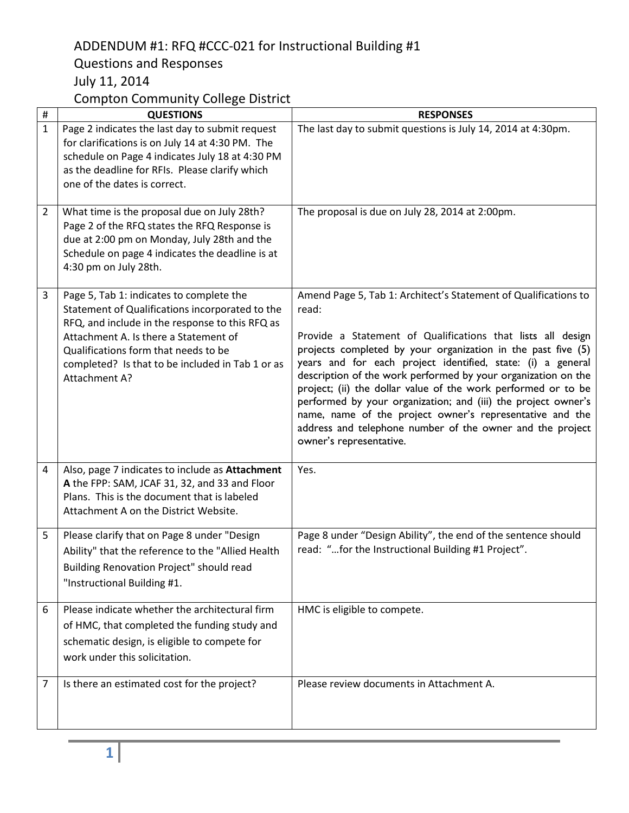## ADDENDUM #1: RFQ #CCC-021 for Instructional Building #1 Questions and Responses July 11, 2014

## Compton Community College District

| $\#$         | <b>QUESTIONS</b>                                                                                                                                                                                                                                                                                     | <b>RESPONSES</b>                                                                                                                                                                                                                                                                                                                                                                                                                                                                                                                                                                                                              |
|--------------|------------------------------------------------------------------------------------------------------------------------------------------------------------------------------------------------------------------------------------------------------------------------------------------------------|-------------------------------------------------------------------------------------------------------------------------------------------------------------------------------------------------------------------------------------------------------------------------------------------------------------------------------------------------------------------------------------------------------------------------------------------------------------------------------------------------------------------------------------------------------------------------------------------------------------------------------|
| $\mathbf{1}$ | Page 2 indicates the last day to submit request<br>for clarifications is on July 14 at 4:30 PM. The<br>schedule on Page 4 indicates July 18 at 4:30 PM<br>as the deadline for RFIs. Please clarify which<br>one of the dates is correct.                                                             | The last day to submit questions is July 14, 2014 at 4:30pm.                                                                                                                                                                                                                                                                                                                                                                                                                                                                                                                                                                  |
| 2            | What time is the proposal due on July 28th?<br>Page 2 of the RFQ states the RFQ Response is<br>due at 2:00 pm on Monday, July 28th and the<br>Schedule on page 4 indicates the deadline is at<br>4:30 pm on July 28th.                                                                               | The proposal is due on July 28, 2014 at 2:00pm.                                                                                                                                                                                                                                                                                                                                                                                                                                                                                                                                                                               |
| 3            | Page 5, Tab 1: indicates to complete the<br>Statement of Qualifications incorporated to the<br>RFQ, and include in the response to this RFQ as<br>Attachment A. Is there a Statement of<br>Qualifications form that needs to be<br>completed? Is that to be included in Tab 1 or as<br>Attachment A? | Amend Page 5, Tab 1: Architect's Statement of Qualifications to<br>read:<br>Provide a Statement of Qualifications that lists all design<br>projects completed by your organization in the past five (5)<br>years and for each project identified, state: (i) a general<br>description of the work performed by your organization on the<br>project; (ii) the dollar value of the work performed or to be<br>performed by your organization; and (iii) the project owner's<br>name, name of the project owner's representative and the<br>address and telephone number of the owner and the project<br>owner's representative. |
| 4            | Also, page 7 indicates to include as Attachment<br>A the FPP: SAM, JCAF 31, 32, and 33 and Floor<br>Plans. This is the document that is labeled<br>Attachment A on the District Website.                                                                                                             | Yes.                                                                                                                                                                                                                                                                                                                                                                                                                                                                                                                                                                                                                          |
| 5            | Please clarify that on Page 8 under "Design<br>Ability" that the reference to the "Allied Health<br>Building Renovation Project" should read<br>"Instructional Building #1.                                                                                                                          | Page 8 under "Design Ability", the end of the sentence should<br>read: "for the Instructional Building #1 Project".                                                                                                                                                                                                                                                                                                                                                                                                                                                                                                           |
| 6            | Please indicate whether the architectural firm<br>of HMC, that completed the funding study and<br>schematic design, is eligible to compete for<br>work under this solicitation.                                                                                                                      | HMC is eligible to compete.                                                                                                                                                                                                                                                                                                                                                                                                                                                                                                                                                                                                   |
| 7            | Is there an estimated cost for the project?                                                                                                                                                                                                                                                          | Please review documents in Attachment A.                                                                                                                                                                                                                                                                                                                                                                                                                                                                                                                                                                                      |